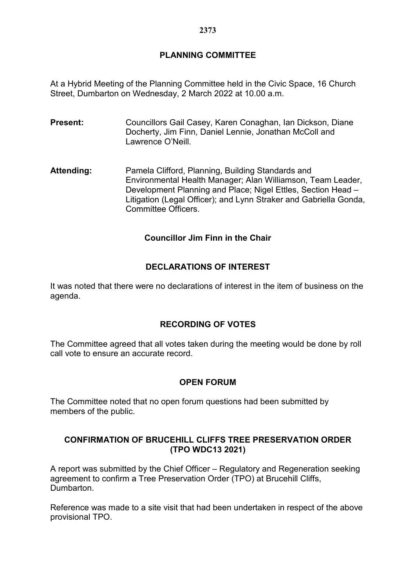# **PLANNING COMMITTEE**

At a Hybrid Meeting of the Planning Committee held in the Civic Space, 16 Church Street, Dumbarton on Wednesday, 2 March 2022 at 10.00 a.m.

- **Present:** Councillors Gail Casey, Karen Conaghan, Ian Dickson, Diane Docherty, Jim Finn, Daniel Lennie, Jonathan McColl and Lawrence O'Neill.
- **Attending:** Pamela Clifford, Planning, Building Standards and Environmental Health Manager; Alan Williamson, Team Leader, Development Planning and Place; Nigel Ettles, Section Head – Litigation (Legal Officer); and Lynn Straker and Gabriella Gonda, Committee Officers.

# **Councillor Jim Finn in the Chair**

## **DECLARATIONS OF INTEREST**

It was noted that there were no declarations of interest in the item of business on the agenda.

#### **RECORDING OF VOTES**

The Committee agreed that all votes taken during the meeting would be done by roll call vote to ensure an accurate record.

#### **OPEN FORUM**

The Committee noted that no open forum questions had been submitted by members of the public.

## **CONFIRMATION OF BRUCEHILL CLIFFS TREE PRESERVATION ORDER (TPO WDC13 2021)**

A report was submitted by the Chief Officer – Regulatory and Regeneration seeking agreement to confirm a Tree Preservation Order (TPO) at Brucehill Cliffs, Dumbarton.

Reference was made to a site visit that had been undertaken in respect of the above provisional TPO.